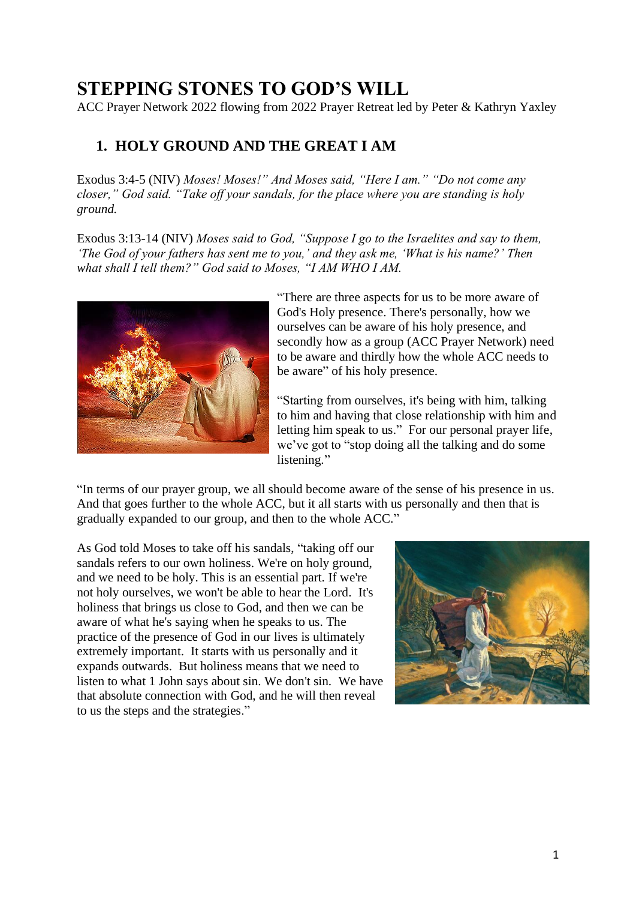## **STEPPING STONES TO GOD'S WILL**

ACC Prayer Network 2022 flowing from 2022 Prayer Retreat led by Peter & Kathryn Yaxley

## **1. HOLY GROUND AND THE GREAT I AM**

Exodus 3:4-5 (NIV) *Moses! Moses!" And Moses said, "Here I am." "Do not come any closer," God said. "Take off your sandals, for the place where you are standing is holy ground.*

Exodus 3:13-14 (NIV) *Moses said to God, "Suppose I go to the Israelites and say to them, 'The God of your fathers has sent me to you,' and they ask me, 'What is his name?' Then what shall I tell them?" God said to Moses, "I AM WHO I AM.*



"There are three aspects for us to be more aware of God's Holy presence. There's personally, how we ourselves can be aware of his holy presence, and secondly how as a group (ACC Prayer Network) need to be aware and thirdly how the whole ACC needs to be aware" of his holy presence.

"Starting from ourselves, it's being with him, talking to him and having that close relationship with him and letting him speak to us." For our personal prayer life, we've got to "stop doing all the talking and do some listening."

"In terms of our prayer group, we all should become aware of the sense of his presence in us. And that goes further to the whole ACC, but it all starts with us personally and then that is gradually expanded to our group, and then to the whole ACC."

As God told Moses to take off his sandals, "taking off our sandals refers to our own holiness. We're on holy ground, and we need to be holy. This is an essential part. If we're not holy ourselves, we won't be able to hear the Lord. It's holiness that brings us close to God, and then we can be aware of what he's saying when he speaks to us. The practice of the presence of God in our lives is ultimately extremely important. It starts with us personally and it expands outwards. But holiness means that we need to listen to what 1 John says about sin. We don't sin. We have that absolute connection with God, and he will then reveal to us the steps and the strategies."

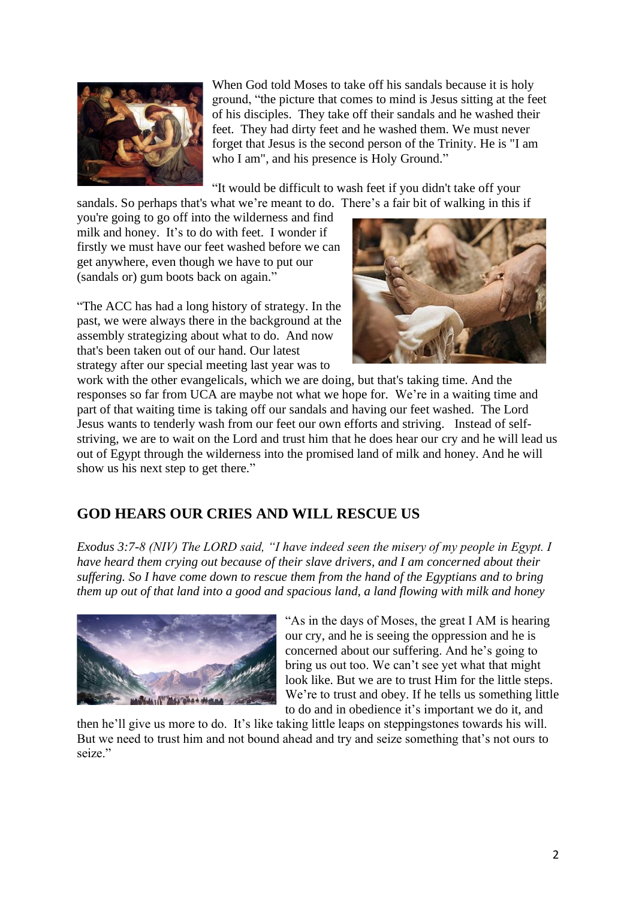

When God told Moses to take off his sandals because it is holy ground, "the picture that comes to mind is Jesus sitting at the feet of his disciples. They take off their sandals and he washed their feet. They had dirty feet and he washed them. We must never forget that Jesus is the second person of the Trinity. He is "I am who I am", and his presence is Holy Ground."

"It would be difficult to wash feet if you didn't take off your sandals. So perhaps that's what we're meant to do. There's a fair bit of walking in this if

you're going to go off into the wilderness and find milk and honey. It's to do with feet. I wonder if firstly we must have our feet washed before we can get anywhere, even though we have to put our (sandals or) gum boots back on again."

"The ACC has had a long history of strategy. In the past, we were always there in the background at the assembly strategizing about what to do. And now that's been taken out of our hand. Our latest strategy after our special meeting last year was to



work with the other evangelicals, which we are doing, but that's taking time. And the responses so far from UCA are maybe not what we hope for. We're in a waiting time and part of that waiting time is taking off our sandals and having our feet washed. The Lord Jesus wants to tenderly wash from our feet our own efforts and striving. Instead of selfstriving, we are to wait on the Lord and trust him that he does hear our cry and he will lead us out of Egypt through the wilderness into the promised land of milk and honey. And he will show us his next step to get there."

## **GOD HEARS OUR CRIES AND WILL RESCUE US**

*Exodus 3:7-8 (NIV) The LORD said, "I have indeed seen the misery of my people in Egypt. I have heard them crying out because of their slave drivers, and I am concerned about their suffering. So I have come down to rescue them from the hand of the Egyptians and to bring them up out of that land into a good and spacious land, a land flowing with milk and honey*



"As in the days of Moses, the great I AM is hearing our cry, and he is seeing the oppression and he is concerned about our suffering. And he's going to bring us out too. We can't see yet what that might look like. But we are to trust Him for the little steps. We're to trust and obey. If he tells us something little to do and in obedience it's important we do it, and

then he'll give us more to do. It's like taking little leaps on steppingstones towards his will. But we need to trust him and not bound ahead and try and seize something that's not ours to seize."